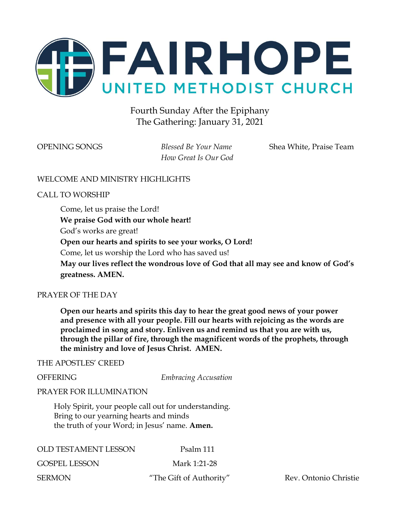

### Fourth Sunday After the Epiphany The Gathering: January 31, 2021

*How Great Is Our God*

OPENING SONGS *Blessed Be Your Name* Shea White, Praise Team

#### WELCOME AND MINISTRY HIGHLIGHTS

CALL TO WORSHIP

Come, let us praise the Lord! **We praise God with our whole heart!** God's works are great! **Open our hearts and spirits to see your works, O Lord!** Come, let us worship the Lord who has saved us! **May our lives reflect the wondrous love of God that all may see and know of God's greatness. AMEN.**

#### PRAYER OF THE DAY

**Open our hearts and spirits this day to hear the great good news of your power and presence with all your people. Fill our hearts with rejoicing as the words are proclaimed in song and story. Enliven us and remind us that you are with us, through the pillar of fire, through the magnificent words of the prophets, through the ministry and love of Jesus Christ. AMEN.**

#### THE APOSTLES' CREED

OFFERING *Embracing Accusation*

#### PRAYER FOR ILLUMINATION

Holy Spirit, your people call out for understanding. Bring to our yearning hearts and minds the truth of your Word; in Jesus' name. **Amen.**

| <b>OLD TESTAMENT LESSON</b> | Psalm 111            |
|-----------------------------|----------------------|
| <b>GOSPEL LESSON</b>        | Mark 1:21-28         |
| <b>SERMON</b>               | "The Gift of Author" |

thority" Rev. Ontonio Christie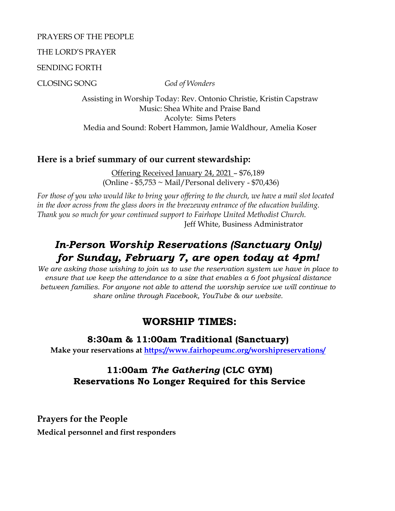#### PRAYERS OF THE PEOPLE

#### THE LORD'S PRAYER

SENDING FORTH

CLOSING SONG *God of Wonders*

Assisting in Worship Today: Rev. Ontonio Christie, Kristin Capstraw Music: Shea White and Praise Band Acolyte: Sims Peters Media and Sound: Robert Hammon, Jamie Waldhour, Amelia Koser

### **Here is a brief summary of our current stewardship:**

Offering Received January 24, 2021 – \$76,189 (Online - \$5,753 ~ Mail/Personal delivery - \$70,436)

*For those of you who would like to bring your offering to the church, we have a mail slot located in the door across from the glass doors in the breezeway entrance of the education building. Thank you so much for your continued support to Fairhope United Methodist Church.* Jeff White, Business Administrator

# *In-Person Worship Reservations (Sanctuary Only) for Sunday, February 7, are open today at 4pm!*

*We are asking those wishing to join us to use the reservation system we have in place to ensure that we keep the attendance to a size that enables a 6 foot physical distance between families. For anyone not able to attend the worship service we will continue to share online through Facebook, YouTube & our website.*

### **WORSHIP TIMES:**

### **8:30am & 11:00am Traditional (Sanctuary)**

**Make your reservations at<https://www.fairhopeumc.org/worshipreservations/>**

### **11:00am** *The Gathering* **(CLC GYM) Reservations No Longer Required for this Service**

**Prayers for the People Medical personnel and first responders**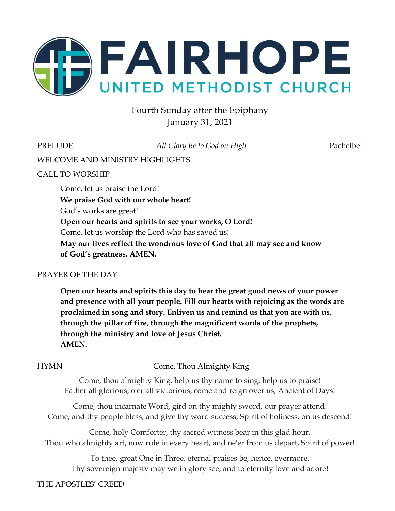

## Fourth Sunday after the Epiphany January 31, 2021

PRELUDE *All Glory Be to God on High* Pachelbel

WELCOME AND MINISTRY HIGHLIGHTS

### CALL TO WORSHIP

Come, let us praise the Lord! **We praise God with our whole heart!** God's works are great! **Open our hearts and spirits to see your works, O Lord!** Come, let us worship the Lord who has saved us! **May our lives reflect the wondrous love of God that all may see and know of God's greatness. AMEN.**

#### PRAYER OF THE DAY

**Open our hearts and spirits this day to hear the great good news of your power and presence with all your people. Fill our hearts with rejoicing as the words are proclaimed in song and story. Enliven us and remind us that you are with us, through the pillar of fire, through the magnificent words of the prophets, through the ministry and love of Jesus Christ. AMEN.**

HYMN Come, Thou Almighty King

Come, thou almighty King, help us thy name to sing, help us to praise! Father all glorious, o'er all victorious, come and reign over us, Ancient of Days!

Come, thou incarnate Word, gird on thy mighty sword, our prayer attend! Come, and thy people bless, and give thy word success; Spirit of holiness, on us descend!

Come, holy Comforter, thy sacred witness bear in this glad hour. Thou who almighty art, now rule in every heart, and ne'er from us depart, Spirit of power!

To thee, great One in Three, eternal praises be, hence, evermore. Thy sovereign majesty may we in glory see, and to eternity love and adore!

### THE APOSTLES' CREED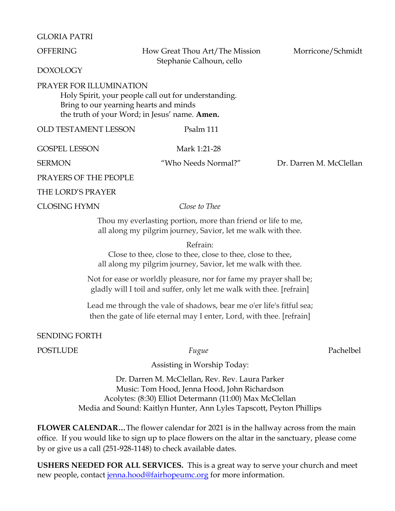#### GLORIA PATRI

OFFERING How Great Thou Art/The Mission Morricone/Schmidt Stephanie Calhoun, cello

DOXOLOGY

#### PRAYER FOR ILLUMINATION

Holy Spirit, your people call out for understanding. Bring to our yearning hearts and minds the truth of your Word; in Jesus' name. **Amen.**

OLD TESTAMENT LESSON Psalm 111

GOSPEL LESSON Mark 1:21-28

SERMON "Who Needs Normal?" Dr. Darren M. McClellan

PRAYERS OF THE PEOPLE

THE LORD'S PRAYER

CLOSING HYMN *Close to Thee*

Thou my everlasting portion, more than friend or life to me, all along my pilgrim journey, Savior, let me walk with thee.

Refrain:

Close to thee, close to thee, close to thee, close to thee, all along my pilgrim journey, Savior, let me walk with thee.

Not for ease or worldly pleasure, nor for fame my prayer shall be; gladly will I toil and suffer, only let me walk with thee. [refrain]

Lead me through the vale of shadows, bear me o'er life's fitful sea; then the gate of life eternal may I enter, Lord, with thee. [refrain]

SENDING FORTH

POSTLUDE *Fugue* Pachelbel

Assisting in Worship Today:

Dr. Darren M. McClellan, Rev. Rev. Laura Parker Music: Tom Hood, Jenna Hood, John Richardson Acolytes: (8:30) Elliot Determann (11:00) Max McClellan Media and Sound: Kaitlyn Hunter, Ann Lyles Tapscott, Peyton Phillips

**FLOWER CALENDAR…**The flower calendar for 2021 is in the hallway across from the main office. If you would like to sign up to place flowers on the altar in the sanctuary, please come by or give us a call (251-928-1148) to check available dates.

**USHERS NEEDED FOR ALL SERVICES.** This is a great way to serve your church and meet new people, contact [jenna.hood@fairhopeumc.org](mailto:jenna.hood@fairhopeumc.org) for more information.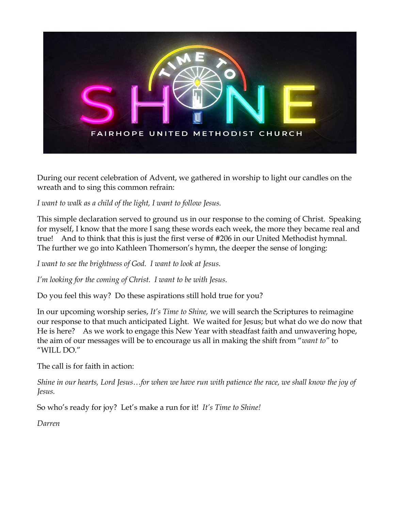

During our recent celebration of Advent, we gathered in worship to light our candles on the wreath and to sing this common refrain:

*I want to walk as a child of the light, I want to follow Jesus.*

This simple declaration served to ground us in our response to the coming of Christ. Speaking for myself, I know that the more I sang these words each week, the more they became real and true! And to think that this is just the first verse of #206 in our United Methodist hymnal. The further we go into Kathleen Thomerson's hymn, the deeper the sense of longing:

*I want to see the brightness of God. I want to look at Jesus.*

*I'm looking for the coming of Christ. I want to be with Jesus.*

Do you feel this way? Do these aspirations still hold true for you?

In our upcoming worship series, *It's Time to Shine,* we will search the Scriptures to reimagine our response to that much anticipated Light. We waited for Jesus; but what do we do now that He is here? As we work to engage this New Year with steadfast faith and unwavering hope, the aim of our messages will be to encourage us all in making the shift from "*want to"* to "WILL DO."

The call is for faith in action:

*Shine in our hearts, Lord Jesus…for when we have run with patience the race, we shall know the joy of Jesus.*

So who's ready for joy? Let's make a run for it! *It's Time to Shine!*

*Darren*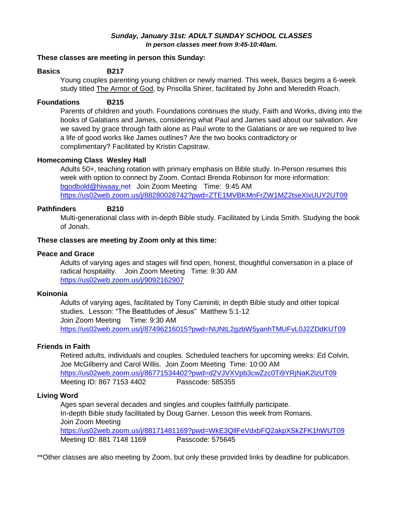#### *Sunday, January 31st: ADULT SUNDAY SCHOOL CLASSES In person classes meet from 9:45-10:40am.*

#### **These classes are meeting in person this Sunday:**

#### **Basics B217**

Young couples parenting young children or newly married. This week, Basics begins a 6-week study titled The Armor of God, by Priscilla Shirer, facilitated by John and Meredith Roach.

#### **Foundations B215**

Parents of children and youth. Foundations continues the study, Faith and Works, diving into the books of Galatians and James, considering what Paul and James said about our salvation. Are we saved by grace through faith alone as Paul wrote to the Galatians or are we required to live a life of good works like James outlines? Are the two books contradictory or complimentary? Facilitated by Kristin Capstraw.

#### **Homecoming Class Wesley Hall**

Adults 50+, teaching rotation with primary emphasis on Bible study. In-Person resumes this week with option to connect by Zoom. Contact Brenda Robinson for more information: [bgodbold@hiwaay.net](mailto:bgodbold@hiwaay.net) Join Zoom Meeting Time: 9:45 AM <https://us02web.zoom.us/j/88280028742?pwd=ZTE1MVBKMnFrZW1MZ2tseXlxUUY2UT09>

#### **Pathfinders B210**

Multi-generational class with in-depth Bible study. Facilitated by Linda Smith. Studying the book of Jonah.

#### **These classes are meeting by Zoom only at this time:**

#### **Peace and Grace**

Adults of varying ages and stages will find open, honest, thoughtful conversation in a place of radical hospitality. Join Zoom Meeting Time: 9:30 AM <https://us02web.zoom.us/j/9092162907>

#### **Koinonia**

Adults of varying ages, facilitated by Tony Caminiti; in depth Bible study and other topical studies. Lesson: "The Beatitudes of Jesus" Matthew 5:1-12 Join Zoom Meeting Time: 9:30 AM <https://us02web.zoom.us/j/87496216015?pwd=NUNtL2gzbW5yanhTMUFvL0J2ZDdKUT09>

#### **Friends in Faith**

Retired adults, individuals and couples. Scheduled teachers for upcoming weeks: Ed Colvin, Joe McGilberry and Carol Willis. Join Zoom Meeting Time: 10:00 AM <https://us02web.zoom.us/j/86771534402?pwd=d2VJVXVpb3cwZzc0Ti9YRjNaK2lzUT09> Meeting ID: 867 7153 4402 Passcode: 585355

#### **Living Word**

Ages span several decades and singles and couples faithfully participate. In-depth Bible study facilitated by Doug Garner. Lesson this week from Romans. Join Zoom Meeting <https://us02web.zoom.us/j/88171481169?pwd=WkE3QllFeVdxbFQ2akpXSkZFK1hWUT09> Meeting ID: 881 7148 1169 Passcode: 575645

\*\*Other classes are also meeting by Zoom, but only these provided links by deadline for publication.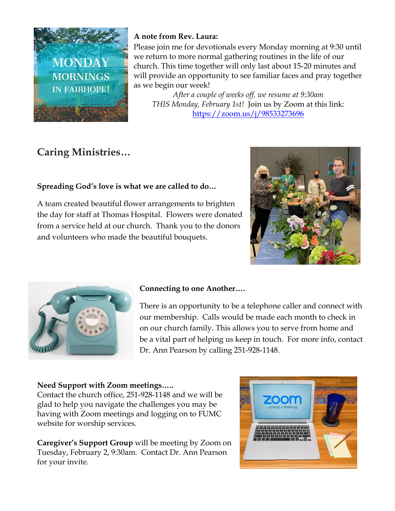

### **A note from Rev. Laura:**

Please join me for devotionals every Monday morning at 9:30 until we return to more normal gathering routines in the life of our church. This time together will only last about 15-20 minutes and will provide an opportunity to see familiar faces and pray together as we begin our week!

*After a couple of weeks off, we resume at 9:30am THIS Monday, February 1st!* Join us by Zoom at this link: <https://zoom.us/j/98533273696>

# **Caring Ministries…**

### **Spreading God's love is what we are called to do…**

A team created beautiful flower arrangements to brighten the day for staff at Thomas Hospital. Flowers were donated from a service held at our church. Thank you to the donors and volunteers who made the beautiful bouquets.





### **Connecting to one Another….**

There is an opportunity to be a telephone caller and connect with our membership. Calls would be made each month to check in on our church family. This allows you to serve from home and be a vital part of helping us keep in touch. For more info, contact Dr. Ann Pearson by calling 251-928-1148.

### **Need Support with Zoom meetings…..**

Contact the church office, 251-928-1148 and we will be glad to help you navigate the challenges you may be having with Zoom meetings and logging on to FUMC website for worship services.

**Caregiver's Support Group** will be meeting by Zoom on Tuesday, February 2, 9:30am. Contact Dr. Ann Pearson for your invite.

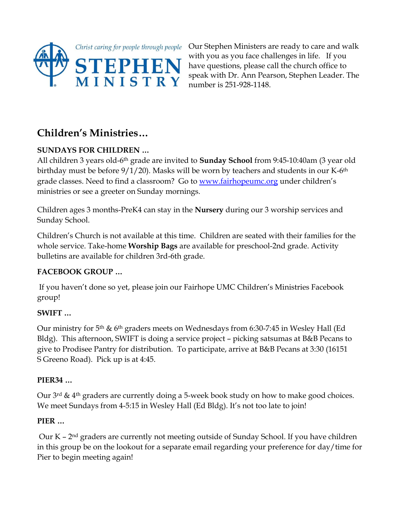

Our Stephen Ministers are ready to care and walk with you as you face challenges in life. If you have questions, please call the church office to speak with Dr. Ann Pearson, Stephen Leader. The number is 251-928-1148.

# **Children's Ministries…**

### **SUNDAYS FOR CHILDREN …**

All children 3 years old-6th grade are invited to **Sunday School** from 9:45-10:40am (3 year old birthday must be before  $9/1/20$ ). Masks will be worn by teachers and students in our K-6<sup>th</sup> grade classes. Need to find a classroom? Go to [www.fairhopeumc.org](http://www.fairhopeumc.org/) under children's ministries or see a greeter on Sunday mornings.

Children ages 3 months-PreK4 can stay in the **Nursery** during our 3 worship services and Sunday School.

Children's Church is not available at this time. Children are seated with their families for the whole service. Take-home **Worship Bags** are available for preschool-2nd grade. Activity bulletins are available for children 3rd-6th grade.

### **FACEBOOK GROUP …**

If you haven't done so yet, please join our Fairhope UMC Children's Ministries Facebook group!

### **SWIFT …**

Our ministry for 5th & 6th graders meets on Wednesdays from 6:30-7:45 in Wesley Hall (Ed Bldg). This afternoon, SWIFT is doing a service project – picking satsumas at B&B Pecans to give to Prodisee Pantry for distribution. To participate, arrive at B&B Pecans at 3:30 (16151 S Greeno Road). Pick up is at 4:45.

### **PIER34 …**

Our 3rd & 4th graders are currently doing a 5-week book study on how to make good choices. We meet Sundays from 4-5:15 in Wesley Hall (Ed Bldg). It's not too late to join!

### **PIER …**

Our K – 2nd graders are currently not meeting outside of Sunday School. If you have children in this group be on the lookout for a separate email regarding your preference for day/time for Pier to begin meeting again!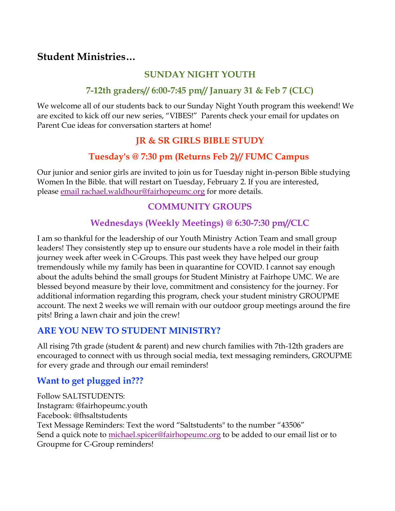## **Student Ministries…**

### **SUNDAY NIGHT YOUTH**

### **7-12th graders// 6:00-7:45 pm// January 31 & Feb 7 (CLC)**

We welcome all of our students back to our Sunday Night Youth program this weekend! We are excited to kick off our new series, "VIBES!" Parents check your email for updates on Parent Cue ideas for conversation starters at home!

## **JR & SR GIRLS BIBLE STUDY**

### **Tuesday's @ 7:30 pm (Returns Feb 2)// FUMC Campus**

Our junior and senior girls are invited to join us for Tuesday night in-person Bible studying Women In the Bible. that will restart on Tuesday, February 2. If you are interested, please [email rachael.waldhour@fairhopeumc.org](mailto:rachael.waldhour@fairhopeumc.org) for more details.

### **COMMUNITY GROUPS**

# **Wednesdays (Weekly Meetings) @ 6:30-7:30 pm//CLC**

I am so thankful for the leadership of our Youth Ministry Action Team and small group leaders! They consistently step up to ensure our students have a role model in their faith journey week after week in C-Groups. This past week they have helped our group tremendously while my family has been in quarantine for COVID. I cannot say enough about the adults behind the small groups for Student Ministry at Fairhope UMC. We are blessed beyond measure by their love, commitment and consistency for the journey. For additional information regarding this program, check your student ministry GROUPME account. The next 2 weeks we will remain with our outdoor group meetings around the fire pits! Bring a lawn chair and join the crew!

### **ARE YOU NEW TO STUDENT MINISTRY?**

All rising 7th grade (student & parent) and new church families with 7th-12th graders are encouraged to connect with us through social media, text messaging reminders, GROUPME for every grade and through our email reminders!

### **Want to get plugged in???**

Follow SALTSTUDENTS: Instagram: @fairhopeumc.youth Facebook: @fhsaltstudents Text Message Reminders: Text the word "Saltstudents" to the number "43506" Send a quick note to [michael.spicer@fairhopeumc.org](mailto:michael.spicer@fairhopeumc.org) to be added to our email list or to Groupme for C-Group reminders!